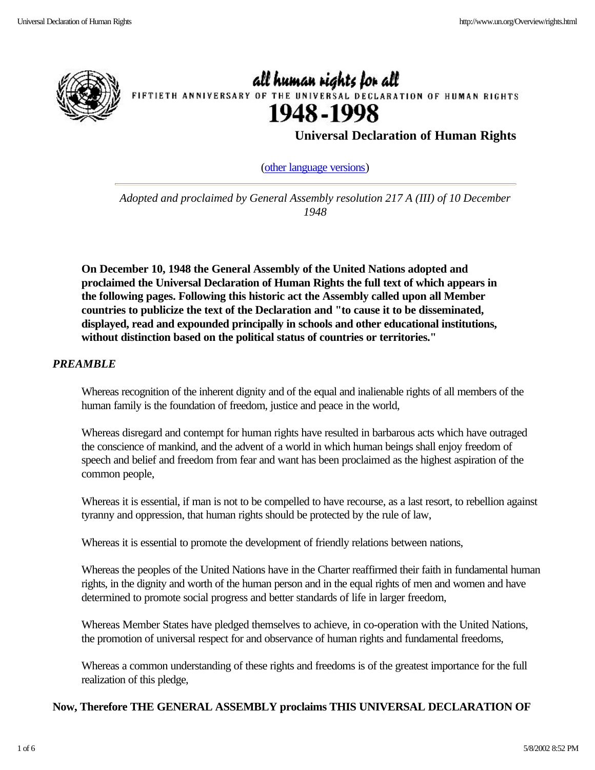

all human rights for all FIFTIETH ANNIVERSARY OF THE UNIVERSAL DECLARATION OF HUMAN RIGHTS 1948-1998

**Universal Declaration of Human Rights**

(other language versions)

*Adopted and proclaimed by General Assembly resolution 217 A (III) of 10 December 1948*

**On December 10, 1948 the General Assembly of the United Nations adopted and proclaimed the Universal Declaration of Human Rights the full text of which appears in the following pages. Following this historic act the Assembly called upon all Member countries to publicize the text of the Declaration and "to cause it to be disseminated, displayed, read and expounded principally in schools and other educational institutions, without distinction based on the political status of countries or territories."**

# *PREAMBLE*

Whereas recognition of the inherent dignity and of the equal and inalienable rights of all members of the human family is the foundation of freedom, justice and peace in the world,

Whereas disregard and contempt for human rights have resulted in barbarous acts which have outraged the conscience of mankind, and the advent of a world in which human beings shall enjoy freedom of speech and belief and freedom from fear and want has been proclaimed as the highest aspiration of the common people,

Whereas it is essential, if man is not to be compelled to have recourse, as a last resort, to rebellion against tyranny and oppression, that human rights should be protected by the rule of law,

Whereas it is essential to promote the development of friendly relations between nations,

Whereas the peoples of the United Nations have in the Charter reaffirmed their faith in fundamental human rights, in the dignity and worth of the human person and in the equal rights of men and women and have determined to promote social progress and better standards of life in larger freedom,

Whereas Member States have pledged themselves to achieve, in co-operation with the United Nations, the promotion of universal respect for and observance of human rights and fundamental freedoms,

Whereas a common understanding of these rights and freedoms is of the greatest importance for the full realization of this pledge,

# **Now, Therefore THE GENERAL ASSEMBLY proclaims THIS UNIVERSAL DECLARATION OF**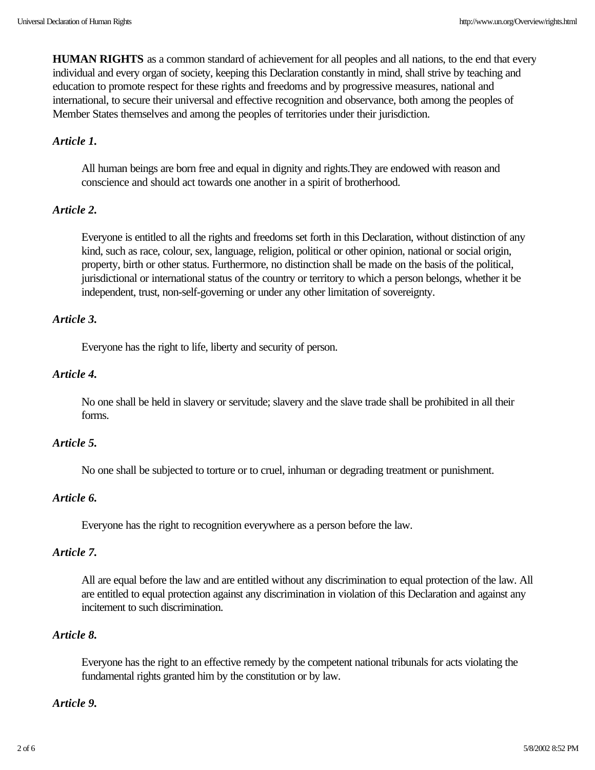**HUMAN RIGHTS** as a common standard of achievement for all peoples and all nations, to the end that every individual and every organ of society, keeping this Declaration constantly in mind, shall strive by teaching and education to promote respect for these rights and freedoms and by progressive measures, national and international, to secure their universal and effective recognition and observance, both among the peoples of Member States themselves and among the peoples of territories under their jurisdiction.

# *Article 1.*

All human beings are born free and equal in dignity and rights.They are endowed with reason and conscience and should act towards one another in a spirit of brotherhood.

# *Article 2.*

Everyone is entitled to all the rights and freedoms set forth in this Declaration, without distinction of any kind, such as race, colour, sex, language, religion, political or other opinion, national or social origin, property, birth or other status. Furthermore, no distinction shall be made on the basis of the political, jurisdictional or international status of the country or territory to which a person belongs, whether it be independent, trust, non-self-governing or under any other limitation of sovereignty.

# *Article 3.*

Everyone has the right to life, liberty and security of person.

# *Article 4.*

No one shall be held in slavery or servitude; slavery and the slave trade shall be prohibited in all their forms.

# *Article 5.*

No one shall be subjected to torture or to cruel, inhuman or degrading treatment or punishment.

# *Article 6.*

Everyone has the right to recognition everywhere as a person before the law.

# *Article 7.*

All are equal before the law and are entitled without any discrimination to equal protection of the law. All are entitled to equal protection against any discrimination in violation of this Declaration and against any incitement to such discrimination.

# *Article 8.*

Everyone has the right to an effective remedy by the competent national tribunals for acts violating the fundamental rights granted him by the constitution or by law.

### *Article 9.*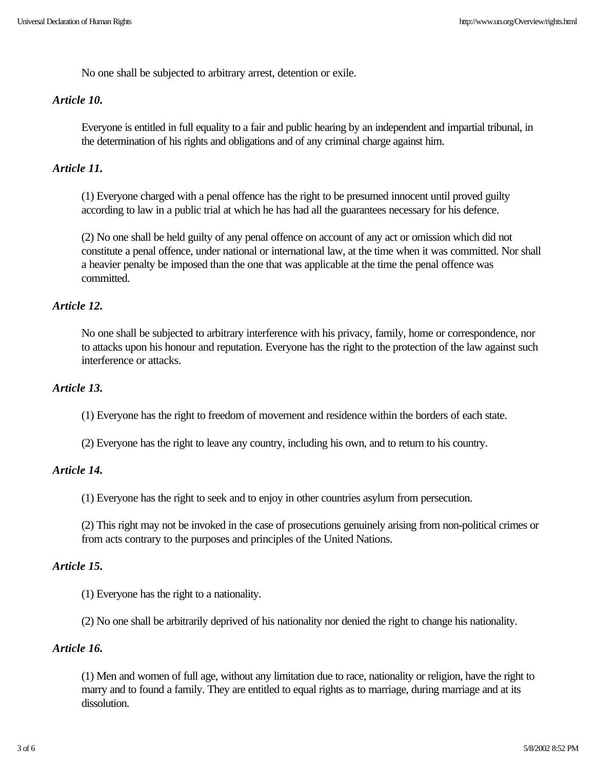No one shall be subjected to arbitrary arrest, detention or exile.

#### *Article 10.*

Everyone is entitled in full equality to a fair and public hearing by an independent and impartial tribunal, in the determination of his rights and obligations and of any criminal charge against him.

# *Article 11.*

(1) Everyone charged with a penal offence has the right to be presumed innocent until proved guilty according to law in a public trial at which he has had all the guarantees necessary for his defence.

(2) No one shall be held guilty of any penal offence on account of any act or omission which did not constitute a penal offence, under national or international law, at the time when it was committed. Nor shall a heavier penalty be imposed than the one that was applicable at the time the penal offence was committed.

### *Article 12.*

No one shall be subjected to arbitrary interference with his privacy, family, home or correspondence, nor to attacks upon his honour and reputation. Everyone has the right to the protection of the law against such interference or attacks.

# *Article 13.*

(1) Everyone has the right to freedom of movement and residence within the borders of each state.

(2) Everyone has the right to leave any country, including his own, and to return to his country.

#### *Article 14.*

(1) Everyone has the right to seek and to enjoy in other countries asylum from persecution.

(2) This right may not be invoked in the case of prosecutions genuinely arising from non-political crimes or from acts contrary to the purposes and principles of the United Nations.

#### *Article 15.*

(1) Everyone has the right to a nationality.

(2) No one shall be arbitrarily deprived of his nationality nor denied the right to change his nationality.

# *Article 16.*

(1) Men and women of full age, without any limitation due to race, nationality or religion, have the right to marry and to found a family. They are entitled to equal rights as to marriage, during marriage and at its dissolution.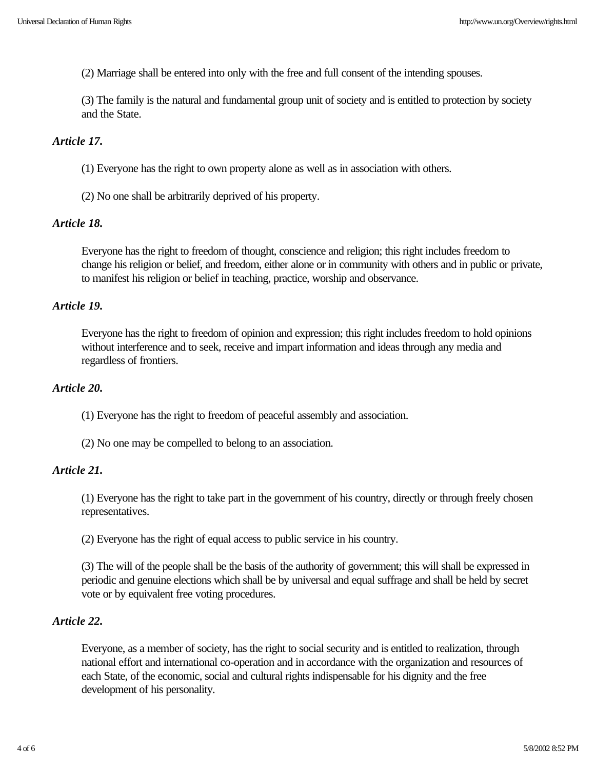(2) Marriage shall be entered into only with the free and full consent of the intending spouses.

(3) The family is the natural and fundamental group unit of society and is entitled to protection by society and the State.

# *Article 17.*

(1) Everyone has the right to own property alone as well as in association with others.

(2) No one shall be arbitrarily deprived of his property.

### *Article 18.*

Everyone has the right to freedom of thought, conscience and religion; this right includes freedom to change his religion or belief, and freedom, either alone or in community with others and in public or private, to manifest his religion or belief in teaching, practice, worship and observance.

### *Article 19.*

Everyone has the right to freedom of opinion and expression; this right includes freedom to hold opinions without interference and to seek, receive and impart information and ideas through any media and regardless of frontiers.

#### *Article 20.*

(1) Everyone has the right to freedom of peaceful assembly and association.

(2) No one may be compelled to belong to an association.

# *Article 21.*

(1) Everyone has the right to take part in the government of his country, directly or through freely chosen representatives.

(2) Everyone has the right of equal access to public service in his country.

(3) The will of the people shall be the basis of the authority of government; this will shall be expressed in periodic and genuine elections which shall be by universal and equal suffrage and shall be held by secret vote or by equivalent free voting procedures.

# *Article 22.*

Everyone, as a member of society, has the right to social security and is entitled to realization, through national effort and international co-operation and in accordance with the organization and resources of each State, of the economic, social and cultural rights indispensable for his dignity and the free development of his personality.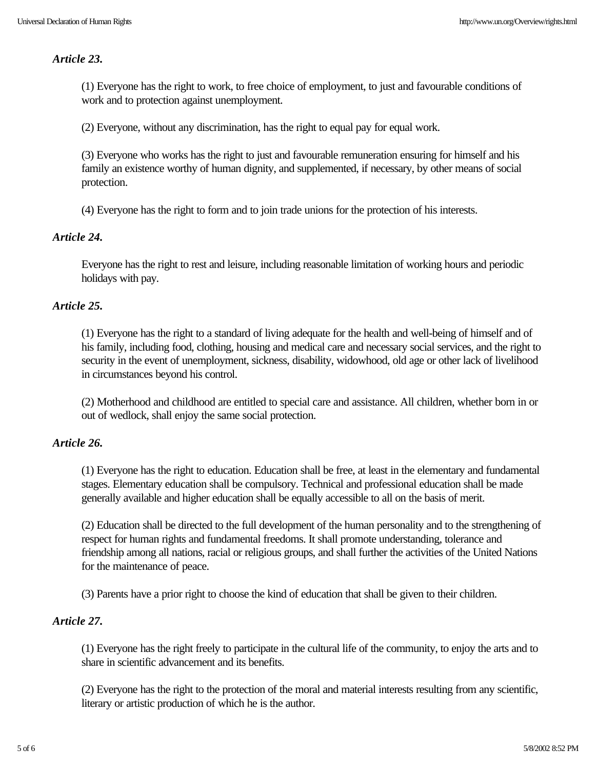### *Article 23.*

(1) Everyone has the right to work, to free choice of employment, to just and favourable conditions of work and to protection against unemployment.

(2) Everyone, without any discrimination, has the right to equal pay for equal work.

(3) Everyone who works has the right to just and favourable remuneration ensuring for himself and his family an existence worthy of human dignity, and supplemented, if necessary, by other means of social protection.

(4) Everyone has the right to form and to join trade unions for the protection of his interests.

# *Article 24.*

Everyone has the right to rest and leisure, including reasonable limitation of working hours and periodic holidays with pay.

# *Article 25.*

(1) Everyone has the right to a standard of living adequate for the health and well-being of himself and of his family, including food, clothing, housing and medical care and necessary social services, and the right to security in the event of unemployment, sickness, disability, widowhood, old age or other lack of livelihood in circumstances beyond his control.

(2) Motherhood and childhood are entitled to special care and assistance. All children, whether born in or out of wedlock, shall enjoy the same social protection.

#### *Article 26.*

(1) Everyone has the right to education. Education shall be free, at least in the elementary and fundamental stages. Elementary education shall be compulsory. Technical and professional education shall be made generally available and higher education shall be equally accessible to all on the basis of merit.

(2) Education shall be directed to the full development of the human personality and to the strengthening of respect for human rights and fundamental freedoms. It shall promote understanding, tolerance and friendship among all nations, racial or religious groups, and shall further the activities of the United Nations for the maintenance of peace.

(3) Parents have a prior right to choose the kind of education that shall be given to their children.

# *Article 27.*

(1) Everyone has the right freely to participate in the cultural life of the community, to enjoy the arts and to share in scientific advancement and its benefits.

(2) Everyone has the right to the protection of the moral and material interests resulting from any scientific, literary or artistic production of which he is the author.